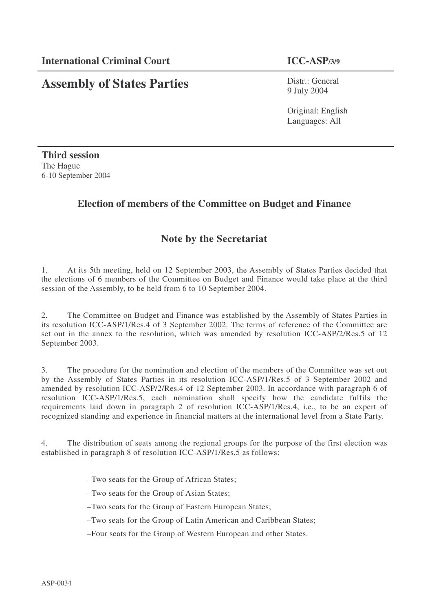# **Assembly of States Parties**

Distr.: General 9 July 2004

Original: English Languages: All

**Third session** The Hague 6-10 September 2004

# **Election of members of the Committee on Budget and Finance**

# **Note by the Secretariat**

1. At its 5th meeting, held on 12 September 2003, the Assembly of States Parties decided that the elections of 6 members of the Committee on Budget and Finance would take place at the third session of the Assembly, to be held from 6 to 10 September 2004.

2. The Committee on Budget and Finance was established by the Assembly of States Parties in its resolution ICC-ASP/1/Res.4 of 3 September 2002. The terms of reference of the Committee are set out in the annex to the resolution, which was amended by resolution ICC-ASP/2/Res.5 of 12 September 2003.

3. The procedure for the nomination and election of the members of the Committee was set out by the Assembly of States Parties in its resolution ICC-ASP/1/Res.5 of 3 September 2002 and amended by resolution ICC-ASP/2/Res.4 of 12 September 2003. In accordance with paragraph 6 of resolution ICC-ASP/1/Res.5, each nomination shall specify how the candidate fulfils the requirements laid down in paragraph 2 of resolution ICC-ASP/1/Res.4, i.e., to be an expert of recognized standing and experience in financial matters at the international level from a State Party.

4. The distribution of seats among the regional groups for the purpose of the first election was established in paragraph 8 of resolution ICC-ASP/1/Res.5 as follows:

–Two seats for the Group of African States;

–Two seats for the Group of Asian States;

–Two seats for the Group of Eastern European States;

–Two seats for the Group of Latin American and Caribbean States;

–Four seats for the Group of Western European and other States.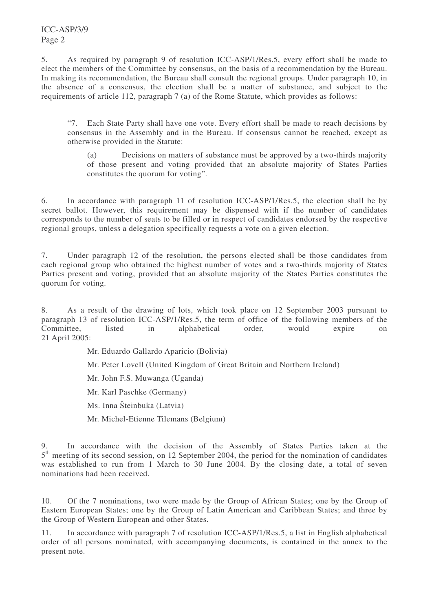ICC-ASP/3/9 Page 2

5. As required by paragraph 9 of resolution ICC-ASP/1/Res.5, every effort shall be made to elect the members of the Committee by consensus, on the basis of a recommendation by the Bureau. In making its recommendation, the Bureau shall consult the regional groups. Under paragraph 10, in the absence of a consensus, the election shall be a matter of substance, and subject to the requirements of article 112, paragraph 7 (a) of the Rome Statute, which provides as follows:

"7. Each State Party shall have one vote. Every effort shall be made to reach decisions by consensus in the Assembly and in the Bureau. If consensus cannot be reached, except as otherwise provided in the Statute:

(a) Decisions on matters of substance must be approved by a two-thirds majority of those present and voting provided that an absolute majority of States Parties constitutes the quorum for voting".

6. In accordance with paragraph 11 of resolution ICC-ASP/1/Res.5, the election shall be by secret ballot. However, this requirement may be dispensed with if the number of candidates corresponds to the number of seats to be filled or in respect of candidates endorsed by the respective regional groups, unless a delegation specifically requests a vote on a given election.

7. Under paragraph 12 of the resolution, the persons elected shall be those candidates from each regional group who obtained the highest number of votes and a two-thirds majority of States Parties present and voting, provided that an absolute majority of the States Parties constitutes the quorum for voting.

8. As a result of the drawing of lots, which took place on 12 September 2003 pursuant to paragraph 13 of resolution ICC-ASP/1/Res.5, the term of office of the following members of the Committee, listed in alphabetical order, would expire on 21 April 2005:

Mr. Eduardo Gallardo Aparicio (Bolivia)

Mr. Peter Lovell (United Kingdom of Great Britain and Northern Ireland)

Mr. John F.S. Muwanga (Uganda)

Mr. Karl Paschke (Germany)

Ms. Inna Šteinbuka (Latvia)

Mr. Michel-Etienne Tilemans (Belgium)

In accordance with the decision of the Assembly of States Parties taken at the 5<sup>th</sup> meeting of its second session, on 12 September 2004, the period for the nomination of candidates was established to run from 1 March to 30 June 2004. By the closing date, a total of seven nominations had been received.

10. Of the 7 nominations, two were made by the Group of African States; one by the Group of Eastern European States; one by the Group of Latin American and Caribbean States; and three by the Group of Western European and other States.

11. In accordance with paragraph 7 of resolution ICC-ASP/1/Res.5, a list in English alphabetical order of all persons nominated, with accompanying documents, is contained in the annex to the present note.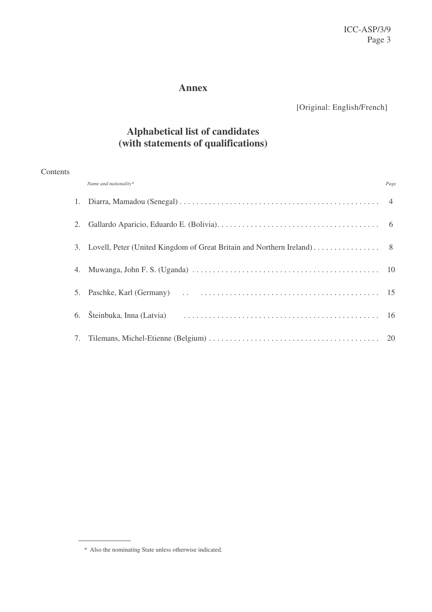# **Annex**

[Original: English/French]

# **Alphabetical list of candidates (with statements of qualifications)**

### **Contents**

| Name and nationality* | Page |
|-----------------------|------|
|                       |      |
|                       |      |
|                       |      |
|                       |      |
|                       |      |
|                       |      |
|                       |      |

<sup>\*</sup> Also the nominating State unless otherwise indicated.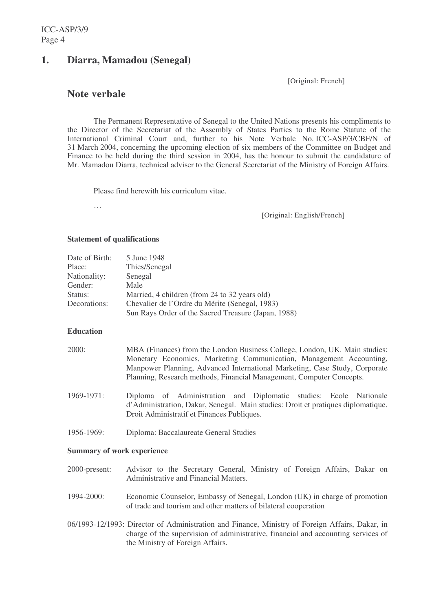# **1. Diarra, Mamadou (Senegal)**

[Original: French]

# **Note verbale**

The Permanent Representative of Senegal to the United Nations presents his compliments to the Director of the Secretariat of the Assembly of States Parties to the Rome Statute of the International Criminal Court and, further to his Note Verbale No. ICC-ASP/3/CBF/N of 31 March 2004, concerning the upcoming election of six members of the Committee on Budget and Finance to be held during the third session in 2004, has the honour to submit the candidature of Mr. Mamadou Diarra, technical adviser to the General Secretariat of the Ministry of Foreign Affairs.

Please find herewith his curriculum vitae.

…

[Original: English/French]

#### **Statement of qualifications**

| Date of Birth: | 5 June 1948                                         |
|----------------|-----------------------------------------------------|
| Place:         | Thies/Senegal                                       |
| Nationality:   | Senegal                                             |
| Gender:        | Male                                                |
| Status:        | Married, 4 children (from 24 to 32 years old)       |
| Decorations:   | Chevalier de l'Ordre du Mérite (Senegal, 1983)      |
|                | Sun Rays Order of the Sacred Treasure (Japan, 1988) |

### **Education**

| 2000:           | MBA (Finances) from the London Business College, London, UK. Main studies:<br>Monetary Economics, Marketing Communication, Management Accounting,<br>Manpower Planning, Advanced International Marketing, Case Study, Corporate<br>Planning, Research methods, Financial Management, Computer Concepts. |  |  |  |  |
|-----------------|---------------------------------------------------------------------------------------------------------------------------------------------------------------------------------------------------------------------------------------------------------------------------------------------------------|--|--|--|--|
| $1969 - 1971$ : | Diploma of Administration and Diplomatic studies: Ecole Nationale<br>d'Administration, Dakar, Senegal. Main studies: Droit et pratiques diplomatique.<br>Droit Administratif et Finances Publiques.                                                                                                     |  |  |  |  |
| 1956-1969:      | Diploma: Baccalaureate General Studies                                                                                                                                                                                                                                                                  |  |  |  |  |

#### **Summary of work experience**

- 2000-present: Advisor to the Secretary General, Ministry of Foreign Affairs, Dakar on Administrative and Financial Matters.
- 1994-2000: Economic Counselor, Embassy of Senegal, London (UK) in charge of promotion of trade and tourism and other matters of bilateral cooperation
- 06/1993-12/1993: Director of Administration and Finance, Ministry of Foreign Affairs, Dakar, in charge of the supervision of administrative, financial and accounting services of the Ministry of Foreign Affairs.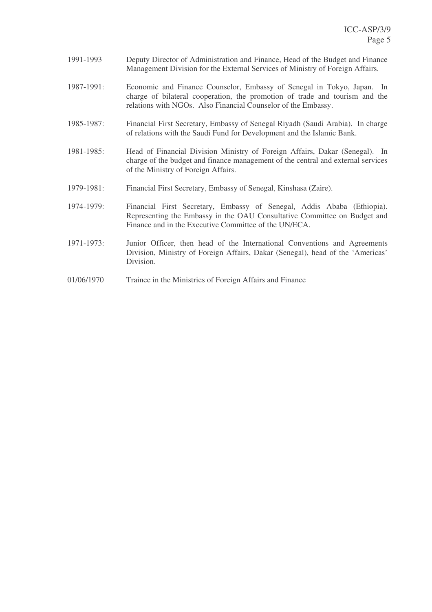- 1991-1993 Deputy Director of Administration and Finance, Head of the Budget and Finance Management Division for the External Services of Ministry of Foreign Affairs.
- 1987-1991: Economic and Finance Counselor, Embassy of Senegal in Tokyo, Japan. In charge of bilateral cooperation, the promotion of trade and tourism and the relations with NGOs. Also Financial Counselor of the Embassy.
- 1985-1987: Financial First Secretary, Embassy of Senegal Riyadh (Saudi Arabia). In charge of relations with the Saudi Fund for Development and the Islamic Bank.
- 1981-1985: Head of Financial Division Ministry of Foreign Affairs, Dakar (Senegal). In charge of the budget and finance management of the central and external services of the Ministry of Foreign Affairs.
- 1979-1981: Financial First Secretary, Embassy of Senegal, Kinshasa (Zaire).
- 1974-1979: Financial First Secretary, Embassy of Senegal, Addis Ababa (Ethiopia). Representing the Embassy in the OAU Consultative Committee on Budget and Finance and in the Executive Committee of the UN/ECA.
- 1971-1973: Junior Officer, then head of the International Conventions and Agreements Division, Ministry of Foreign Affairs, Dakar (Senegal), head of the 'Americas' Division.
- 01/06/1970 Trainee in the Ministries of Foreign Affairs and Finance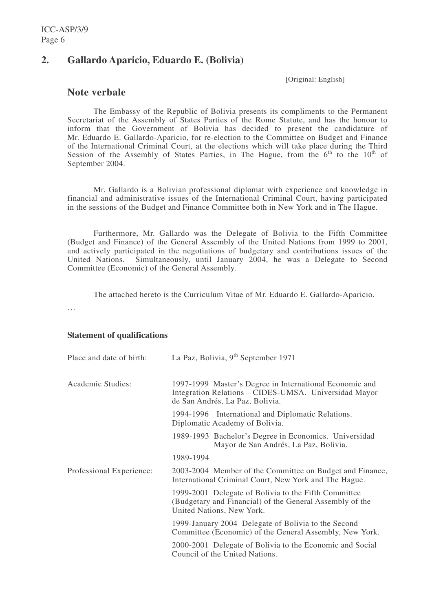# **2. Gallardo Aparicio, Eduardo E. (Bolivia)**

[Original: English]

# **Note verbale**

The Embassy of the Republic of Bolivia presents its compliments to the Permanent Secretariat of the Assembly of States Parties of the Rome Statute, and has the honour to inform that the Government of Bolivia has decided to present the candidature of Mr. Eduardo E. Gallardo-Aparicio, for re-election to the Committee on Budget and Finance of the International Criminal Court, at the elections which will take place during the Third Session of the Assembly of States Parties, in The Hague, from the  $6<sup>th</sup>$  to the  $10<sup>th</sup>$  of September 2004.

Mr. Gallardo is a Bolivian professional diplomat with experience and knowledge in financial and administrative issues of the International Criminal Court, having participated in the sessions of the Budget and Finance Committee both in New York and in The Hague.

Furthermore, Mr. Gallardo was the Delegate of Bolivia to the Fifth Committee (Budget and Finance) of the General Assembly of the United Nations from 1999 to 2001, and actively participated in the negotiations of budgetary and contributions issues of the United Nations. Simultaneously, until January 2004, he was a Delegate to Second Committee (Economic) of the General Assembly.

The attached hereto is the Curriculum Vitae of Mr. Eduardo E. Gallardo-Aparicio.

…

### **Statement of qualifications**

| Place and date of birth: | La Paz, Bolivia, $9th$ September 1971                                                                                                               |
|--------------------------|-----------------------------------------------------------------------------------------------------------------------------------------------------|
| Academic Studies:        | 1997-1999 Master's Degree in International Economic and<br>Integration Relations – CIDES-UMSA. Universidad Mayor<br>de San Andrés, La Paz, Bolivia. |
|                          | 1994-1996 International and Diplomatic Relations.<br>Diplomatic Academy of Bolivia.                                                                 |
|                          | 1989-1993 Bachelor's Degree in Economics. Universidad<br>Mayor de San Andrés, La Paz, Bolivia.                                                      |
|                          | 1989-1994                                                                                                                                           |
| Professional Experience: | 2003-2004 Member of the Committee on Budget and Finance,<br>International Criminal Court, New York and The Hague.                                   |
|                          | 1999-2001 Delegate of Bolivia to the Fifth Committee<br>(Budgetary and Financial) of the General Assembly of the<br>United Nations, New York.       |
|                          | 1999-January 2004 Delegate of Bolivia to the Second<br>Committee (Economic) of the General Assembly, New York.                                      |
|                          | 2000-2001 Delegate of Bolivia to the Economic and Social<br>Council of the United Nations.                                                          |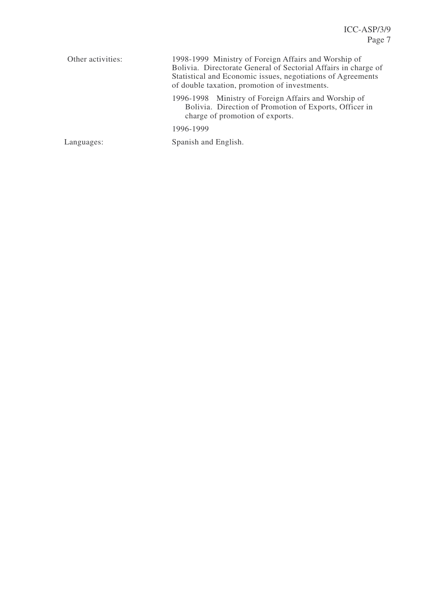| Other activities: | 1998-1999 Ministry of Foreign Affairs and Worship of<br>Bolivia. Directorate General of Sectorial Affairs in charge of<br>Statistical and Economic issues, negotiations of Agreements<br>of double taxation, promotion of investments. |  |  |  |
|-------------------|----------------------------------------------------------------------------------------------------------------------------------------------------------------------------------------------------------------------------------------|--|--|--|
|                   | 1996-1998 Ministry of Foreign Affairs and Worship of<br>Bolivia. Direction of Promotion of Exports, Officer in<br>charge of promotion of exports.                                                                                      |  |  |  |
|                   | 1996-1999                                                                                                                                                                                                                              |  |  |  |
| Languages:        | Spanish and English.                                                                                                                                                                                                                   |  |  |  |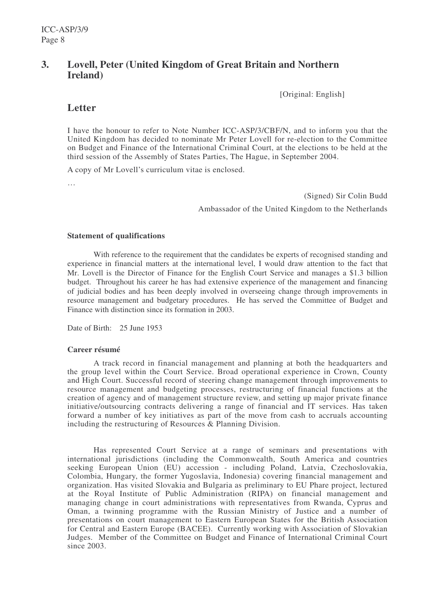# **3. Lovell, Peter (United Kingdom of Great Britain and Northern Ireland)**

[Original: English]

# **Letter**

I have the honour to refer to Note Number ICC-ASP/3/CBF/N, and to inform you that the United Kingdom has decided to nominate Mr Peter Lovell for re-election to the Committee on Budget and Finance of the International Criminal Court, at the elections to be held at the third session of the Assembly of States Parties, The Hague, in September 2004.

A copy of Mr Lovell's curriculum vitae is enclosed.

…

(Signed) Sir Colin Budd Ambassador of the United Kingdom to the Netherlands

#### **Statement of qualifications**

With reference to the requirement that the candidates be experts of recognised standing and experience in financial matters at the international level, I would draw attention to the fact that Mr. Lovell is the Director of Finance for the English Court Service and manages a \$1.3 billion budget. Throughout his career he has had extensive experience of the management and financing of judicial bodies and has been deeply involved in overseeing change through improvements in resource management and budgetary procedures. He has served the Committee of Budget and Finance with distinction since its formation in 2003.

Date of Birth: 25 June 1953

### **Career résumé**

A track record in financial management and planning at both the headquarters and the group level within the Court Service. Broad operational experience in Crown, County and High Court. Successful record of steering change management through improvements to resource management and budgeting processes, restructuring of financial functions at the creation of agency and of management structure review, and setting up major private finance initiative/outsourcing contracts delivering a range of financial and IT services. Has taken forward a number of key initiatives as part of the move from cash to accruals accounting including the restructuring of Resources & Planning Division.

Has represented Court Service at a range of seminars and presentations with international jurisdictions (including the Commonwealth, South America and countries seeking European Union (EU) accession - including Poland, Latvia, Czechoslovakia, Colombia, Hungary, the former Yugoslavia, Indonesia) covering financial management and organization. Has visited Slovakia and Bulgaria as preliminary to EU Phare project, lectured at the Royal Institute of Public Administration (RIPA) on financial management and managing change in court administrations with representatives from Rwanda, Cyprus and Oman, a twinning programme with the Russian Ministry of Justice and a number of presentations on court management to Eastern European States for the British Association for Central and Eastern Europe (BACEE). Currently working with Association of Slovakian Judges. Member of the Committee on Budget and Finance of International Criminal Court since 2003.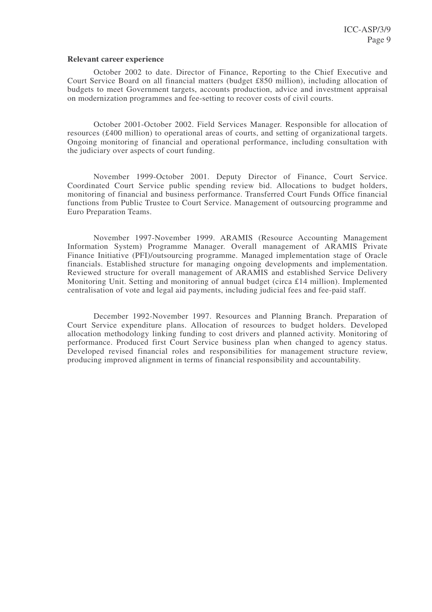#### **Relevant career experience**

October 2002 to date. Director of Finance, Reporting to the Chief Executive and Court Service Board on all financial matters (budget £850 million), including allocation of budgets to meet Government targets, accounts production, advice and investment appraisal on modernization programmes and fee-setting to recover costs of civil courts.

October 2001-October 2002. Field Services Manager. Responsible for allocation of resources (£400 million) to operational areas of courts, and setting of organizational targets. Ongoing monitoring of financial and operational performance, including consultation with the judiciary over aspects of court funding.

November 1999-October 2001. Deputy Director of Finance, Court Service. Coordinated Court Service public spending review bid. Allocations to budget holders, monitoring of financial and business performance. Transferred Court Funds Office financial functions from Public Trustee to Court Service. Management of outsourcing programme and Euro Preparation Teams.

November 1997-November 1999. ARAMIS (Resource Accounting Management Information System) Programme Manager. Overall management of ARAMIS Private Finance Initiative (PFI)/outsourcing programme. Managed implementation stage of Oracle financials. Established structure for managing ongoing developments and implementation. Reviewed structure for overall management of ARAMIS and established Service Delivery Monitoring Unit. Setting and monitoring of annual budget (circa £14 million). Implemented centralisation of vote and legal aid payments, including judicial fees and fee-paid staff.

December 1992-November 1997. Resources and Planning Branch. Preparation of Court Service expenditure plans. Allocation of resources to budget holders. Developed allocation methodology linking funding to cost drivers and planned activity. Monitoring of performance. Produced first Court Service business plan when changed to agency status. Developed revised financial roles and responsibilities for management structure review, producing improved alignment in terms of financial responsibility and accountability.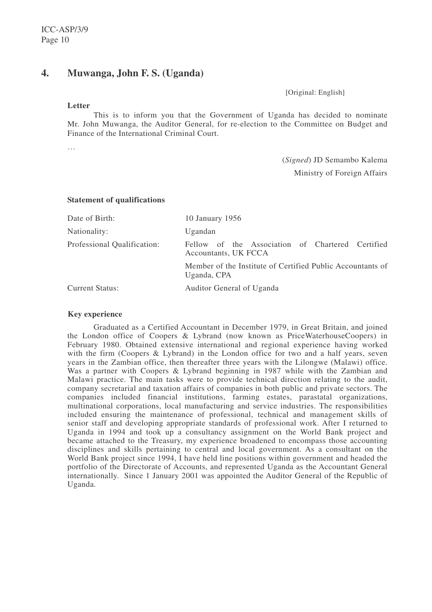# **4. Muwanga, John F. S. (Uganda)**

[Original: English]

#### **Letter**

This is to inform you that the Government of Uganda has decided to nominate Mr. John Muwanga, the Auditor General, for re-election to the Committee on Budget and Finance of the International Criminal Court.

…

(*Signed*) JD Semambo Kalema Ministry of Foreign Affairs

#### **Statement of qualifications**

| Date of Birth:              | 10 January 1956                                                           |  |  |  |  |
|-----------------------------|---------------------------------------------------------------------------|--|--|--|--|
| Nationality:                | Ugandan                                                                   |  |  |  |  |
| Professional Qualification: | Fellow of the Association of Chartered Certified<br>Accountants, UK FCCA  |  |  |  |  |
|                             | Member of the Institute of Certified Public Accountants of<br>Uganda, CPA |  |  |  |  |
| <b>Current Status:</b>      | Auditor General of Uganda                                                 |  |  |  |  |

### **Key experience**

Graduated as a Certified Accountant in December 1979, in Great Britain, and joined the London office of Coopers & Lybrand (now known as PriceWaterhouseCoopers) in February 1980. Obtained extensive international and regional experience having worked with the firm (Coopers & Lybrand) in the London office for two and a half years, seven years in the Zambian office, then thereafter three years with the Lilongwe (Malawi) office. Was a partner with Coopers & Lybrand beginning in 1987 while with the Zambian and Malawi practice. The main tasks were to provide technical direction relating to the audit, company secretarial and taxation affairs of companies in both public and private sectors. The companies included financial institutions, farming estates, parastatal organizations, multinational corporations, local manufacturing and service industries. The responsibilities included ensuring the maintenance of professional, technical and management skills of senior staff and developing appropriate standards of professional work. After I returned to Uganda in 1994 and took up a consultancy assignment on the World Bank project and became attached to the Treasury, my experience broadened to encompass those accounting disciplines and skills pertaining to central and local government. As a consultant on the World Bank project since 1994, I have held line positions within government and headed the portfolio of the Directorate of Accounts, and represented Uganda as the Accountant General internationally. Since 1 January 2001 was appointed the Auditor General of the Republic of Uganda.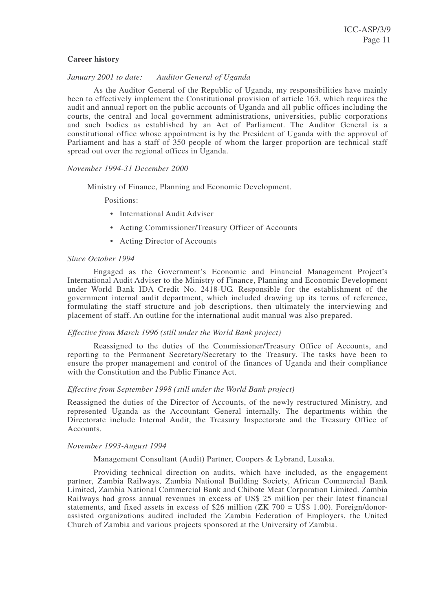#### **Career history**

#### *January 2001 to date: Auditor General of Uganda*

As the Auditor General of the Republic of Uganda, my responsibilities have mainly been to effectively implement the Constitutional provision of article 163, which requires the audit and annual report on the public accounts of Uganda and all public offices including the courts, the central and local government administrations, universities, public corporations and such bodies as established by an Act of Parliament. The Auditor General is a constitutional office whose appointment is by the President of Uganda with the approval of Parliament and has a staff of 350 people of whom the larger proportion are technical staff spread out over the regional offices in Uganda.

#### *November 1994-31 December 2000*

Ministry of Finance, Planning and Economic Development.

Positions:

- International Audit Adviser
- Acting Commissioner/Treasury Officer of Accounts
- Acting Director of Accounts

#### *Since October 1994*

Engaged as the Government's Economic and Financial Management Project's International Audit Adviser to the Ministry of Finance, Planning and Economic Development under World Bank IDA Credit No. 2418-UG. Responsible for the establishment of the government internal audit department, which included drawing up its terms of reference, formulating the staff structure and job descriptions, then ultimately the interviewing and placement of staff. An outline for the international audit manual was also prepared.

#### *Effective from March 1996 (still under the World Bank project)*

Reassigned to the duties of the Commissioner/Treasury Office of Accounts, and reporting to the Permanent Secretary/Secretary to the Treasury. The tasks have been to ensure the proper management and control of the finances of Uganda and their compliance with the Constitution and the Public Finance Act.

#### *Effective from September 1998 (still under the World Bank project)*

Reassigned the duties of the Director of Accounts, of the newly restructured Ministry, and represented Uganda as the Accountant General internally. The departments within the Directorate include Internal Audit, the Treasury Inspectorate and the Treasury Office of Accounts.

#### *November 1993-August 1994*

#### Management Consultant (Audit) Partner, Coopers & Lybrand, Lusaka.

Providing technical direction on audits, which have included, as the engagement partner, Zambia Railways, Zambia National Building Society, African Commercial Bank Limited, Zambia National Commercial Bank and Chibote Meat Corporation Limited. Zambia Railways had gross annual revenues in excess of US\$ 25 million per their latest financial statements, and fixed assets in excess of \$26 million (ZK 700 =  $\overline{USS}$  1.00). Foreign/donorassisted organizations audited included the Zambia Federation of Employers, the United Church of Zambia and various projects sponsored at the University of Zambia.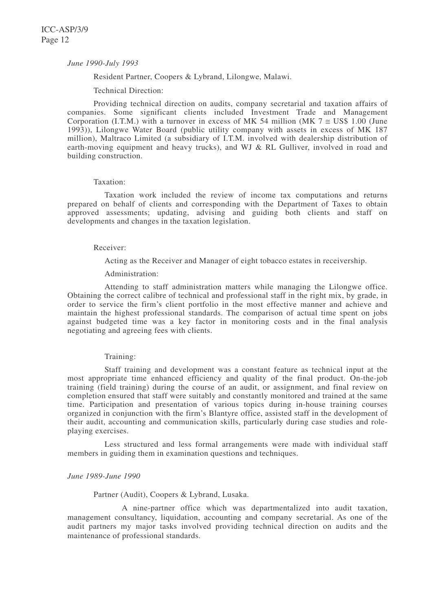#### *June 1990-July 1993*

Resident Partner, Coopers & Lybrand, Lilongwe, Malawi.

Technical Direction:

Providing technical direction on audits, company secretarial and taxation affairs of companies. Some significant clients included Investment Trade and Management Corporation (I.T.M.) with a turnover in excess of MK 54 million (MK  $7 \approx$  US\$ 1.00 (June 1993)), Lilongwe Water Board (public utility company with assets in excess of MK 187 million), Maltraco Limited (a subsidiary of I.T.M. involved with dealership distribution of earth-moving equipment and heavy trucks), and WJ & RL Gulliver, involved in road and building construction.

#### Taxation:

Taxation work included the review of income tax computations and returns prepared on behalf of clients and corresponding with the Department of Taxes to obtain approved assessments; updating, advising and guiding both clients and staff on developments and changes in the taxation legislation.

#### Receiver:

Acting as the Receiver and Manager of eight tobacco estates in receivership.

### Administration:

Attending to staff administration matters while managing the Lilongwe office. Obtaining the correct calibre of technical and professional staff in the right mix, by grade, in order to service the firm's client portfolio in the most effective manner and achieve and maintain the highest professional standards. The comparison of actual time spent on jobs against budgeted time was a key factor in monitoring costs and in the final analysis negotiating and agreeing fees with clients.

#### Training:

Staff training and development was a constant feature as technical input at the most appropriate time enhanced efficiency and quality of the final product. On-the-job training (field training) during the course of an audit, or assignment, and final review on completion ensured that staff were suitably and constantly monitored and trained at the same time. Participation and presentation of various topics during in-house training courses organized in conjunction with the firm's Blantyre office, assisted staff in the development of their audit, accounting and communication skills, particularly during case studies and roleplaying exercises.

Less structured and less formal arrangements were made with individual staff members in guiding them in examination questions and techniques.

#### *June 1989-June 1990*

Partner (Audit), Coopers & Lybrand, Lusaka.

A nine-partner office which was departmentalized into audit taxation, management consultancy, liquidation, accounting and company secretarial. As one of the audit partners my major tasks involved providing technical direction on audits and the maintenance of professional standards.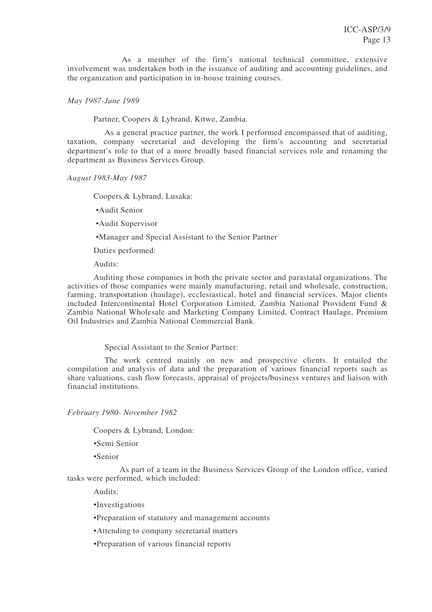As a member of the firm's national technical committee, extensive involvement was undertaken both in the issuance of auditing and accounting guidelines, and the organization and participation in in-house training courses.

*May 1987-June 1989*

Partner, Coopers & Lybrand, Kitwe, Zambia.

As a general practice partner, the work I performed encompassed that of auditing, taxation, company secretarial and developing the firm's accounting and secretarial department's role to that of a more broadly based financial services role and renaming the department as Business Services Group.

*August 1983-May 1987*

Coopers & Lybrand, Lusaka:

•Audit Senior

•Audit Supervisor

•Manager and Special Assistant to the Senior Partner

Duties performed:

Audits:

Auditing those companies in both the private sector and parastatal organizations. The activities of those companies were mainly manufacturing, retail and wholesale, construction, farming, transportation (haulage), ecclesiastical, hotel and financial services. Major clients included Intercontinental Hotel Corporation Limited, Zambia National Provident Fund & Zambia National Wholesale and Marketing Company Limited, Contract Haulage, Premium Oil Industries and Zambia National Commercial Bank.

Special Assistant to the Senior Partner:

The work centred mainly on new and prospective clients. It entailed the compilation and analysis of data and the preparation of various financial reports such as share valuations, cash flow forecasts, appraisal of projects/business ventures and liaison with financial institutions.

*February 1980- November 1982*

Coopers & Lybrand, London:

•Semi Senior

•Senior

As part of a team in the Business Services Group of the London office, varied tasks were performed, which included:

Audits:

•Investigations

•Preparation of statutory and management accounts

•Attending to company secretarial matters

•Preparation of various financial reports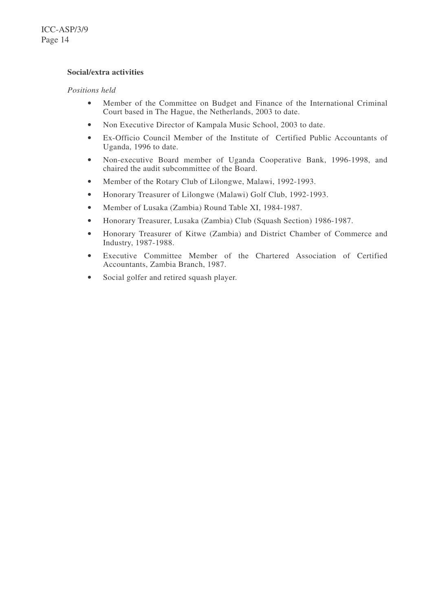### **Social/extra activities**

### *Positions held*

- Member of the Committee on Budget and Finance of the International Criminal Court based in The Hague, the Netherlands, 2003 to date.
- Non Executive Director of Kampala Music School, 2003 to date.
- Ex-Officio Council Member of the Institute of Certified Public Accountants of Uganda, 1996 to date.
- Non-executive Board member of Uganda Cooperative Bank, 1996-1998, and chaired the audit subcommittee of the Board.
- Member of the Rotary Club of Lilongwe, Malawi, 1992-1993.
- Honorary Treasurer of Lilongwe (Malawi) Golf Club, 1992-1993.
- Member of Lusaka (Zambia) Round Table XI, 1984-1987.
- Honorary Treasurer, Lusaka (Zambia) Club (Squash Section) 1986-1987.
- Honorary Treasurer of Kitwe (Zambia) and District Chamber of Commerce and Industry, 1987-1988.
- Executive Committee Member of the Chartered Association of Certified Accountants, Zambia Branch, 1987.
- Social golfer and retired squash player.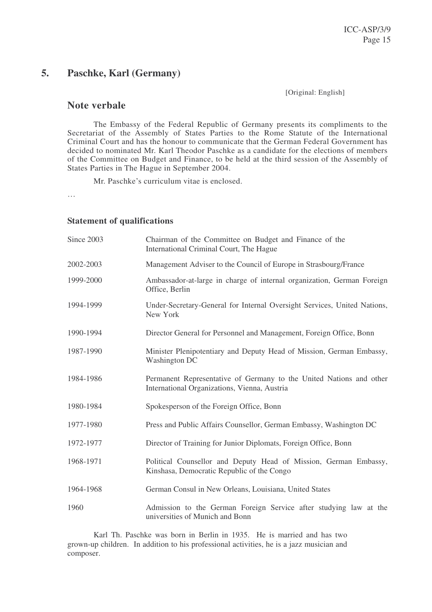# **5. Paschke, Karl (Germany)**

[Original: English]

# **Note verbale**

The Embassy of the Federal Republic of Germany presents its compliments to the Secretariat of the Assembly of States Parties to the Rome Statute of the International Criminal Court and has the honour to communicate that the German Federal Government has decided to nominated Mr. Karl Theodor Paschke as a candidate for the elections of members of the Committee on Budget and Finance, to be held at the third session of the Assembly of States Parties in The Hague in September 2004.

Mr. Paschke's curriculum vitae is enclosed.

…

### **Statement of qualifications**

| Since 2003 | Chairman of the Committee on Budget and Finance of the<br>International Criminal Court, The Hague                   |
|------------|---------------------------------------------------------------------------------------------------------------------|
| 2002-2003  | Management Adviser to the Council of Europe in Strasbourg/France                                                    |
| 1999-2000  | Ambassador-at-large in charge of internal organization, German Foreign<br>Office, Berlin                            |
| 1994-1999  | Under-Secretary-General for Internal Oversight Services, United Nations,<br>New York                                |
| 1990-1994  | Director General for Personnel and Management, Foreign Office, Bonn                                                 |
| 1987-1990  | Minister Plenipotentiary and Deputy Head of Mission, German Embassy,<br><b>Washington DC</b>                        |
| 1984-1986  | Permanent Representative of Germany to the United Nations and other<br>International Organizations, Vienna, Austria |
| 1980-1984  | Spokesperson of the Foreign Office, Bonn                                                                            |
| 1977-1980  | Press and Public Affairs Counsellor, German Embassy, Washington DC                                                  |
| 1972-1977  | Director of Training for Junior Diplomats, Foreign Office, Bonn                                                     |
| 1968-1971  | Political Counsellor and Deputy Head of Mission, German Embassy,<br>Kinshasa, Democratic Republic of the Congo      |
| 1964-1968  | German Consul in New Orleans, Louisiana, United States                                                              |
| 1960       | Admission to the German Foreign Service after studying law at the<br>universities of Munich and Bonn                |

Karl Th. Paschke was born in Berlin in 1935. He is married and has two grown-up children. In addition to his professional activities, he is a jazz musician and composer.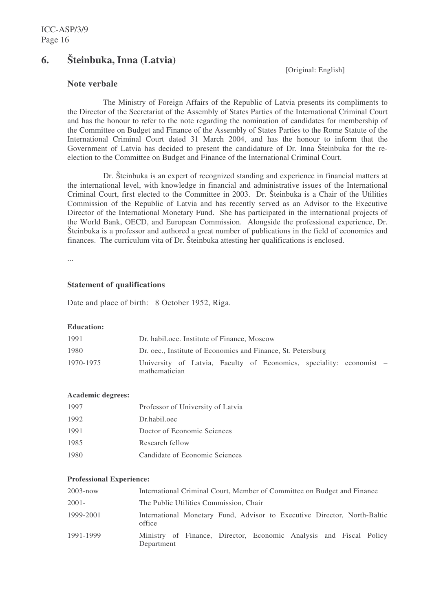# **6. Šteinbuka, Inna (Latvia)**

[Original: English]

# **Note verbale**

The Ministry of Foreign Affairs of the Republic of Latvia presents its compliments to the Director of the Secretariat of the Assembly of States Parties of the International Criminal Court and has the honour to refer to the note regarding the nomination of candidates for membership of the Committee on Budget and Finance of the Assembly of States Parties to the Rome Statute of the International Criminal Court dated 31 March 2004, and has the honour to inform that the Government of Latvia has decided to present the candidature of Dr. Inna Šteinbuka for the reelection to the Committee on Budget and Finance of the International Criminal Court.

Dr. Šteinbuka is an expert of recognized standing and experience in financial matters at the international level, with knowledge in financial and administrative issues of the International Criminal Court, first elected to the Committee in 2003. Dr. Šteinbuka is a Chair of the Utilities Commission of the Republic of Latvia and has recently served as an Advisor to the Executive Director of the International Monetary Fund. She has participated in the international projects of the World Bank, OECD, and European Commission. Alongside the professional experience, Dr. Šteinbuka is a professor and authored a great number of publications in the field of economics and finances. The curriculum vita of Dr. Šteinbuka attesting her qualifications is enclosed.

...

### **Statement of qualifications**

Date and place of birth: 8 October 1952, Riga.

#### **Education:**

| 1991      | Dr. habil.oec. Institute of Finance, Moscow                                          |  |  |  |  |  |
|-----------|--------------------------------------------------------------------------------------|--|--|--|--|--|
| 1980      | Dr. oec., Institute of Economics and Finance, St. Petersburg                         |  |  |  |  |  |
| 1970-1975 | University of Latvia, Faculty of Economics, speciality: economist –<br>mathematician |  |  |  |  |  |

#### **Academic degrees:**

| 1997 | Professor of University of Latvia |
|------|-----------------------------------|
| 1992 | Dr.habil.oec                      |
| 1991 | Doctor of Economic Sciences       |
| 1985 | Research fellow                   |
| 1980 | Candidate of Economic Sciences    |

#### **Professional Experience:**

| $2003 - now$ | International Criminal Court, Member of Committee on Budget and Finance            |  |  |  |  |
|--------------|------------------------------------------------------------------------------------|--|--|--|--|
| $2001 -$     | The Public Utilities Commission, Chair                                             |  |  |  |  |
| 1999-2001    | International Monetary Fund, Advisor to Executive Director, North-Baltic<br>office |  |  |  |  |
| 1991-1999    | Ministry of Finance, Director, Economic Analysis and Fiscal Policy<br>Department   |  |  |  |  |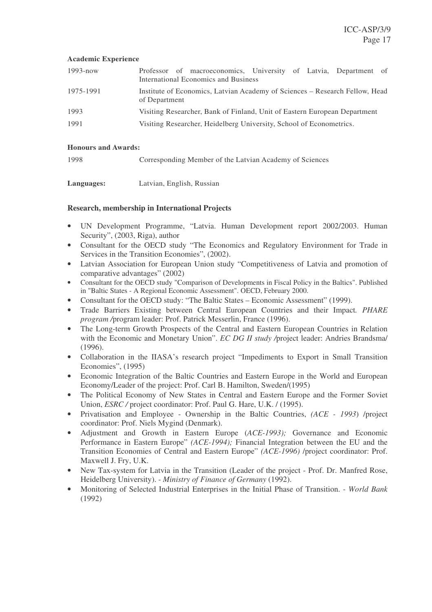#### **Academic Experience**

| $1993 - now$ | Professor of macroeconomics, University of Latvia, Department of<br>International Economics and Business |  |  |  |  |
|--------------|----------------------------------------------------------------------------------------------------------|--|--|--|--|
| 1975-1991    | Institute of Economics, Latvian Academy of Sciences – Research Fellow, Head<br>of Department             |  |  |  |  |
| 1993         | Visiting Researcher, Bank of Finland, Unit of Eastern European Department                                |  |  |  |  |
| 1991         | Visiting Researcher, Heidelberg University, School of Econometrics.                                      |  |  |  |  |

### **Honours and Awards:**

1998 Corresponding Member of the Latvian Academy of Sciences

| Languages: | Latvian, English, Russian |  |
|------------|---------------------------|--|
|            |                           |  |

### **Research, membership in International Projects**

- UN Development Programme, "Latvia. Human Development report 2002/2003. Human Security", (2003, Riga), author
- Consultant for the OECD study "The Economics and Regulatory Environment for Trade in Services in the Transition Economies", (2002).
- Latvian Association for European Union study "Competitiveness of Latvia and promotion of comparative advantages" (2002)
- Consultant for the OECD study "Comparison of Developments in Fiscal Policy in the Baltics". Published in "Baltic States - A Regional Economic Assessment". OECD, February 2000.
- Consultant for the OECD study: "The Baltic States Economic Assessment" (1999).
- Trade Barriers Existing between Central European Countries and their Impact*. PHARE program /*program leader: Prof. Patrick Messerlin, France (1996).
- The Long-term Growth Prospects of the Central and Eastern European Countries in Relation with the Economic and Monetary Union". *EC DG II study /*project leader: Andries Brandsma/  $(1996)$ .
- Collaboration in the IIASA's research project "Impediments to Export in Small Transition Economies", (1995)
- Economic Integration of the Baltic Countries and Eastern Europe in the World and European Economy/Leader of the project: Prof. Carl B. Hamilton, Sweden/(1995)
- The Political Economy of New States in Central and Eastern Europe and the Former Soviet Union, *ESRC* / project coordinator: Prof. Paul G. Hare, U.K. / (1995).
- Privatisation and Employee Ownership in the Baltic Countries, *(ACE - 1993*) /project coordinator: Prof. Niels Mygind (Denmark).
- Adjustment and Growth in Eastern Europe (*ACE-1993);* Governance and Economic Performance in Eastern Europe" *(ACE-1994);* Financial Integration between the EU and the Transition Economies of Central and Eastern Europe" *(ACE-1996)* /project coordinator: Prof. Maxwell J. Fry, U.K.
- New Tax-system for Latvia in the Transition (Leader of the project Prof. Dr. Manfred Rose, Heidelberg University). - *Ministry of Finance of Germany* (1992).
- Monitoring of Selected Industrial Enterprises in the Initial Phase of Transition. *World Bank* (1992)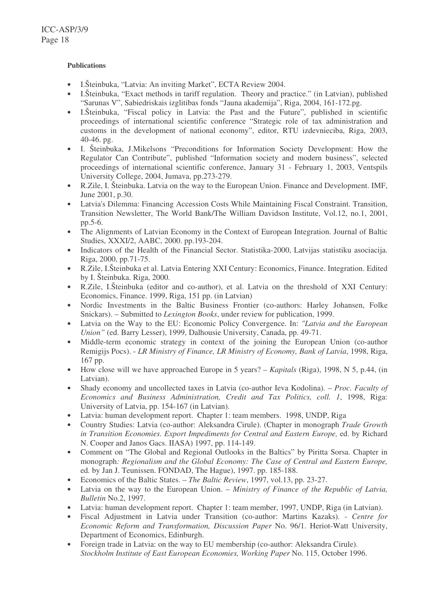### **Publications**

- I.Šteinbuka, "Latvia: An inviting Market", ECTA Review 2004.
- I.Šteinbuka, "Exact methods in tariff regulation. Theory and practice." (in Latvian), published "Sarunas V", Sabiedriskais izglitibas fonds "Jauna akademija", Riga, 2004, 161-172.pg.
- I.Šteinbuka, "Fiscal policy in Latvia: the Past and the Future", published in scientific proceedings of international scientific conference "Strategic role of tax administration and customs in the development of national economy", editor, RTU izdevnieciba, Riga, 2003, 40-46. pg.
- I. Šteinbuka, J.Mikelsons "Preconditions for Information Society Development: How the Regulator Can Contribute", published "Information society and modern business", selected proceedings of international scientific conference, January 31 - February 1, 2003, Ventspils University College, 2004, Jumava, pp.273-279.
- R.Zile, I. Šteinbuka. Latvia on the way to the European Union. Finance and Development. IMF, June 2001, p.30.
- Latvia's Dilemma: Financing Accession Costs While Maintaining Fiscal Constraint. Transition, Transition Newsletter, The World Bank/The William Davidson Institute, Vol.12, no.1, 2001, pp.5-6.
- The Alignments of Latvian Economy in the Context of European Integration. Journal of Baltic Studies, XXXI/2, AABC, 2000. pp.193-204.
- Indicators of the Health of the Financial Sector. Statistika-2000, Latvijas statistiku asociacija. Riga, 2000, pp.71-75.
- R.Zile, I.Šteinbuka et al. Latvia Entering XXI Century: Economics, Finance. Integration. Edited by I. Šteinbuka. Riga, 2000.
- R.Zile, I.Šteinbuka (editor and co-author), et al. Latvia on the threshold of XXI Century: Economics, Finance. 1999, Riga, 151 pp. (in Latvian)
- Nordic Investments in the Baltic Business Frontier (co-authors: Harley Johansen, Folke Snickars). – Submitted to *Lexington Books*, under review for publication, 1999.
- Latvia on the Way to the EU: Economic Policy Convergence. In: *"Latvia and the European Union"* (ed. Barry Lesser), 1999, Dalhousie University, Canada, pp. 49-71.
- Middle-term economic strategy in context of the joining the European Union (co-author Remigijs Pocs). - *LR Ministry of Finance, LR Ministry of Economy, Bank of Latvia*, 1998, Riga, 167 pp.
- How close will we have approached Europe in 5 years? *Kapitals* (Riga), 1998, N 5, p.44, (in Latvian).
- Shady economy and uncollected taxes in Latvia (co-author Ieva Kodolina). *Proc. Faculty of Economics and Business Administration, Credit and Tax Politics, coll. 1*, 1998, Riga: University of Latvia, pp. 154-167 (in Latvian).
- Latvia: human development report. Chapter 1: team members. 1998, UNDP, Riga
- Country Studies: Latvia (co-author: Aleksandra Cirule). (Chapter in monograph *Trade Growth in Transition Economies. Export Impediments for Central and Eastern Europe,* ed. by Richard N. Cooper and Janos Gacs. IIASA) 1997, pp. 114-149.
- Comment on "The Global and Regional Outlooks in the Baltics" by Piritta Sorsa. Chapter in monograph*: Regionalism and the Global Economy: The Case of Central and Eastern Europe,* ed*.* by Jan J. Teunissen. FONDAD, The Hague), 1997. pp. 185-188.
- Economics of the Baltic States. *The Baltic Review*, 1997, vol.13, pp. 23-27.
- Latvia on the way to the European Union. *Ministry of Finance of the Republic of Latvia, Bulletin* No.2, 1997.
- Latvia: human development report. Chapter 1: team member, 1997, UNDP, Riga (in Latvian).
- Fiscal Adjustment in Latvia under Transition (co-author: Martins Kazaks). *Centre for Economic Reform and Transformation, Discussion Paper* No. 96/1. Heriot-Watt University, Department of Economics, Edinburgh.
- Foreign trade in Latvia: on the way to EU membership (co-author: Aleksandra Cirule). *Stockholm Institute of East European Economies, Working Paper* No. 115, October 1996.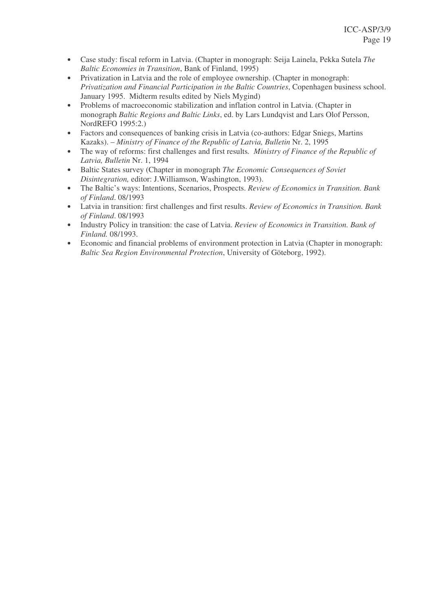- Case study: fiscal reform in Latvia. (Chapter in monograph: Seija Lainela, Pekka Sutela *The Baltic Economies in Transition*, Bank of Finland, 1995)
- Privatization in Latvia and the role of employee ownership. (Chapter in monograph: *Privatization and Financial Participation in the Baltic Countries*, Copenhagen business school. January 1995. Midterm results edited by Niels Mygind)
- Problems of macroeconomic stabilization and inflation control in Latvia. (Chapter in monograph *Baltic Regions and Baltic Links*, ed. by Lars Lundqvist and Lars Olof Persson, NordREFO 1995:2.)
- Factors and consequences of banking crisis in Latvia (co-authors: Edgar Sniegs, Martins Kazaks). – *Ministry of Finance of the Republic of Latvia, Bulletin* Nr. 2, 1995
- The way of reforms: first challenges and first results*. Ministry of Finance of the Republic of Latvia, Bulletin* Nr. 1, 1994
- Baltic States survey (Chapter in monograph *The Economic Consequences of Soviet Disintegration,* editor: J.Williamson, Washington, 1993).
- The Baltic's ways: Intentions, Scenarios, Prospects. *Review of Economics in Transition. Bank of Finland*. 08/1993
- Latvia in transition: first challenges and first results. *Review of Economics in Transition. Bank of Finland*. 08/1993
- Industry Policy in transition: the case of Latvia. *Review of Economics in Transition. Bank of Finland.* 08/1993.
- Economic and financial problems of environment protection in Latvia (Chapter in monograph: *Baltic Sea Region Environmental Protection*, University of Göteborg, 1992).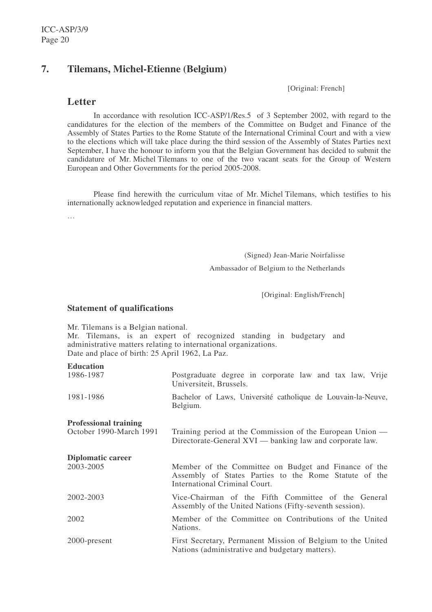# **7. Tilemans, Michel-Etienne (Belgium)**

[Original: French]

# **Letter**

In accordance with resolution ICC-ASP/1/Res.5 of 3 September 2002, with regard to the candidatures for the election of the members of the Committee on Budget and Finance of the Assembly of States Parties to the Rome Statute of the International Criminal Court and with a view to the elections which will take place during the third session of the Assembly of States Parties next September, I have the honour to inform you that the Belgian Government has decided to submit the candidature of Mr. Michel Tilemans to one of the two vacant seats for the Group of Western European and Other Governments for the period 2005-2008.

Please find herewith the curriculum vitae of Mr. Michel Tilemans, which testifies to his internationally acknowledged reputation and experience in financial matters.

…

(Signed) Jean-Marie Noirfalisse

Ambassador of Belgium to the Netherlands

[Original: English/French]

### **Statement of qualifications**

Mr. Tilemans is a Belgian national.

Mr. Tilemans, is an expert of recognized standing in budgetary and administrative matters relating to international organizations. Date and place of birth: 25 April 1962, La Paz.

# **Education**

| 1986-1987                                               | Postgraduate degree in corporate law and tax law, Vrije<br>Universiteit, Brussels.                                    |
|---------------------------------------------------------|-----------------------------------------------------------------------------------------------------------------------|
| 1981-1986                                               | Bachelor of Laws, Université catholique de Louvain-la-Neuve,<br>Belgium.                                              |
| <b>Professional training</b><br>October 1990-March 1991 | Training period at the Commission of the European Union —<br>Directorate-General XVI — banking law and corporate law. |
| Diplomatic career<br>2003-2005                          | Member of the Committee on Budget and Finance of the                                                                  |
|                                                         | Assembly of States Parties to the Rome Statute of the<br>International Criminal Court.                                |
| 2002-2003                                               | Vice-Chairman of the Fifth Committee of the General<br>Assembly of the United Nations (Fifty-seventh session).        |
| 2002                                                    | Member of the Committee on Contributions of the United<br>Nations.                                                    |
| 2000-present                                            | First Secretary, Permanent Mission of Belgium to the United<br>Nations (administrative and budgetary matters).        |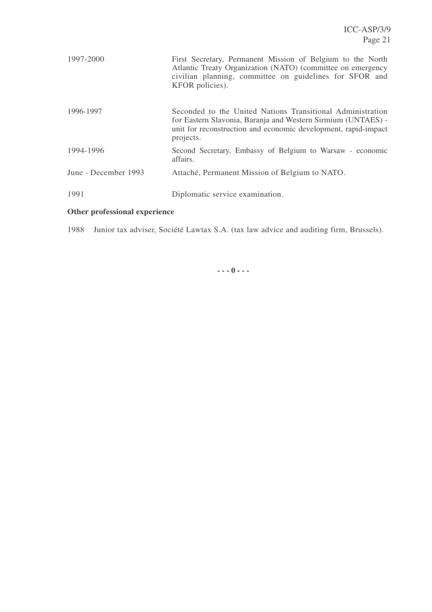| 1997-2000            | First Secretary, Permanent Mission of Belgium to the North<br>Atlantic Treaty Organization (NATO) (committee on emergency<br>civilian planning, committee on guidelines for SFOR and<br>KFOR policies).   |
|----------------------|-----------------------------------------------------------------------------------------------------------------------------------------------------------------------------------------------------------|
| 1996-1997            | Seconded to the United Nations Transitional Administration<br>for Eastern Slavonia, Baranja and Western Sirmium (UNTAES) -<br>unit for reconstruction and economic development, rapid-impact<br>projects. |
| 1994-1996            | Second Secretary, Embassy of Belgium to Warsaw - economic<br>affairs.                                                                                                                                     |
| June - December 1993 | Attaché, Permanent Mission of Belgium to NATO.                                                                                                                                                            |
| 1991                 | Diplomatic service examination.                                                                                                                                                                           |

# **Other professional experience**

1988 Junior tax adviser, Société Lawtax S.A. (tax law advice and auditing firm, Brussels).

**- - - 0 - - -**